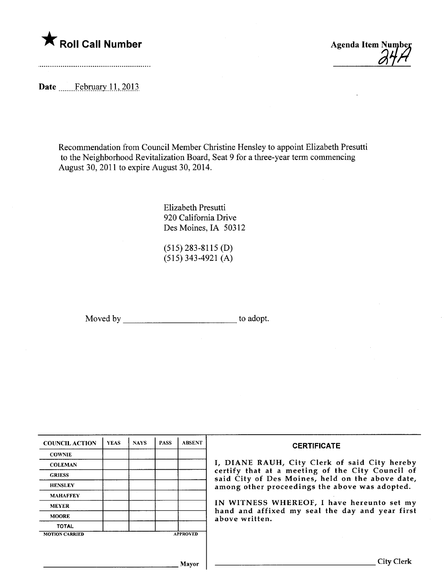

Date Ebruary 11, 2013

Recommendation from Council Member Christine Hensley to appoint Elizabeth Presutti to the Neighborhood Revitalization Board, Seat 9 for a three-year term commencing August 30, 2011 to expire August 30,2014.

> Elizabeth Presutti 920 California Drive Des Moines, IA 50312

(515) 283-8115 (D) (515) 343-4921 (A)

Moved by to adopt.

| <b>COUNCIL ACTION</b> | <b>YEAS</b> | <b>NAYS</b> | <b>PASS</b> | <b>ABSENT</b>   | <b>CERTIFICATE</b>                                                                                   |
|-----------------------|-------------|-------------|-------------|-----------------|------------------------------------------------------------------------------------------------------|
| <b>COWNIE</b>         |             |             |             |                 |                                                                                                      |
| <b>COLEMAN</b>        |             |             |             |                 | I, DIANE RAUH, City Clerk of said City hereby                                                        |
| <b>GRIESS</b>         |             |             |             |                 | certify that at a meeting of the City Council of<br>said City of Des Moines, held on the above date, |
| <b>HENSLEY</b>        |             |             |             |                 | among other proceedings the above was adopted.                                                       |
| <b>MAHAFFEY</b>       |             |             |             |                 |                                                                                                      |
| <b>MEYER</b>          |             |             |             |                 | IN WITNESS WHEREOF, I have hereunto set my                                                           |
| <b>MOORE</b>          |             |             |             |                 | hand and affixed my seal the day and year first<br>above written.                                    |
| <b>TOTAL</b>          |             |             |             |                 |                                                                                                      |
| <b>MOTION CARRIED</b> |             |             |             | <b>APPROVED</b> |                                                                                                      |
|                       |             |             |             |                 |                                                                                                      |
|                       |             |             |             |                 |                                                                                                      |
|                       |             |             |             | Mavor           | <b>City Clerk</b>                                                                                    |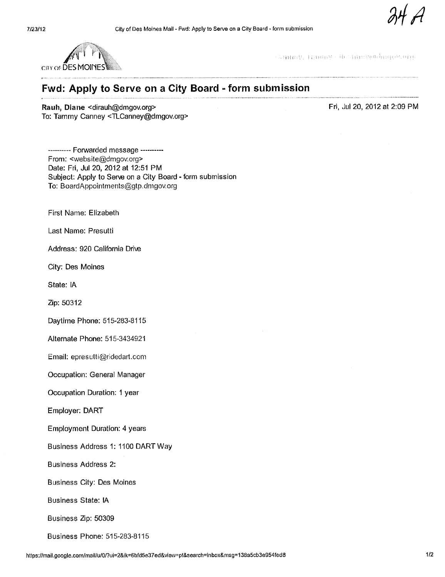

Carmely, Tamby Cheatherwichelgesture

## Fwd: Apply to Serve on a City Board - form submission

Rauh, Diane < dirauh@dmgov.org> To: Tammy Canney <TLCanney@dmgov.org> Fri, Jul 20, 2012 at 2:09 PM

---------- Forwarded message ----------From: <website@dmgov.org> Date: Fri, Jul 20, 2012 at 12:51 PM Subject: Apply to Serve on a City Board - form submission To: BoardAppointments@gtp.dmgov.org

First Name: Elizabeth

Last Name: Presutt

Address: 920 California Drive

City: Des Moines

State: IA

Zip: 50312

Daytime Phone: 515-283-8115

Alternate Phone: 515-3434921

Email: epresulti@ridedart.com

Occupation: General Manager

Occupation Duration: 1 year

Employer: DART

Employment Duration: 4 years

Business Address 1: 1100 DART Way

Business Address 2:

Business City: Des Moines

Business State: IA

Business Zip: 50309

Business Phone: 515-283-8115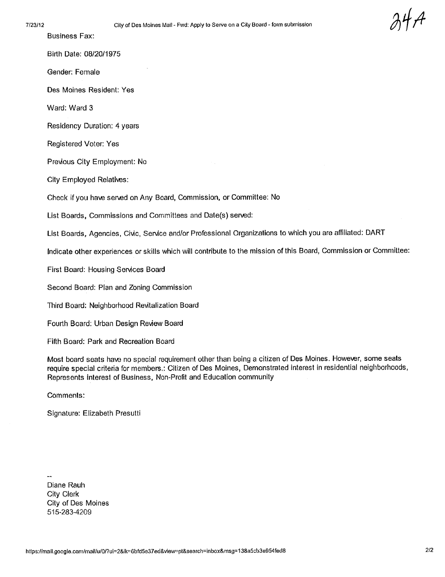Business Fax:

Birth Date: 08/20/1975

Gender; Female

Des Moines Resident: Yes

Ward: Ward 3

Residency Duration: 4 years

Registered Voter: Yes

Previous City Employment: No

City Employed Relatives:

Check if you have served on Any Board, Commission, or Committee: No

List Boards, Commissions and Committees and Date(s) served:

List Boards, Agencies, Civic, Service and/or Professional Organizations to which you are affiliated: DART

Indicate other experiences or skills which wil contribute to the mission of this Board, Commission or Committee:

First Board: Housing Services Board

Second Board: Plan and Zoning Commission

Third Board: Neighborhood Revitalization Board

Fourth Board: Urban Design Review Board

Fifth Board: Park and Recreation Board

Most board seats have no special requirement other than being a citizen of Des Moines. However, some seats require special criteria for members.: Citizen of Des Moines, Demonstrated interest in residential neighborhoods, Represents interest of Business, Non-Profit and Education community

Comments:

Signature: Elizabeth Presutt

Diane Rauh City Clerk City of Des Moines 515-283-4209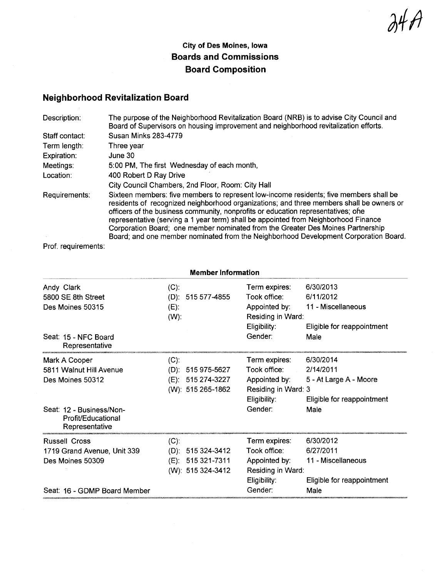$\partial$ 4 $\pi$ /

## City of Des Moines, Iowa Boards and Commissions Board Composition

## Neighborhood Revitalization Board

| Description:   | The purpose of the Neighborhood Revitalization Board (NRB) is to advise City Council and<br>Board of Supervisors on housing improvement and neighborhood revitalization efforts.                                                                                                                                                                                                                                                                  |
|----------------|---------------------------------------------------------------------------------------------------------------------------------------------------------------------------------------------------------------------------------------------------------------------------------------------------------------------------------------------------------------------------------------------------------------------------------------------------|
| Staff contact: | Susan Minks 283-4779                                                                                                                                                                                                                                                                                                                                                                                                                              |
| Term length:   | Three year                                                                                                                                                                                                                                                                                                                                                                                                                                        |
| Expiration:    | June 30                                                                                                                                                                                                                                                                                                                                                                                                                                           |
| Meetings:      | 5:00 PM, The first Wednesday of each month,                                                                                                                                                                                                                                                                                                                                                                                                       |
| Location:      | 400 Robert D Ray Drive                                                                                                                                                                                                                                                                                                                                                                                                                            |
|                | City Council Chambers, 2nd Floor, Room: City Hall                                                                                                                                                                                                                                                                                                                                                                                                 |
| Requirements:  | Sixteen members: five members to represent low-income residents; five members shall be<br>residents of recognized neighborhood organizations; and three members shall be owners or<br>officers of the business community, nonprofits or education representatives; ofie<br>representative (serving a 1 year term) shall be appointed from Neighborhood Finance<br>Corporation Board; one member nominated from the Greater Des Moines Partnership |
|                | Board; and one member nominated from the Neighborhood Development Corporation Board.                                                                                                                                                                                                                                                                                                                                                              |

Prof. requirements:

| <b>Member Information</b>                                        |                               |                                        |                                                                                     |                                                                            |
|------------------------------------------------------------------|-------------------------------|----------------------------------------|-------------------------------------------------------------------------------------|----------------------------------------------------------------------------|
| Andy Clark<br>5800 SE 8th Street<br>Des Moines 50315             | $(C)$ :<br>$(E)$ :<br>$(W)$ : | $(D): 515577-4855$                     | Term expires:<br>Took office:<br>Appointed by:<br>Residing in Ward:<br>Eligibility: | 6/30/2013<br>6/11/2012<br>11 - Miscellaneous<br>Eligible for reappointment |
| Seat: 15 - NFC Board<br>Representative                           |                               |                                        | Gender:                                                                             | Male                                                                       |
| Mark A Cooper                                                    | $(C)$ :                       |                                        | Term expires:                                                                       | 6/30/2014                                                                  |
| 5811 Walnut Hill Avenue                                          |                               | $(D): 515975-5627$                     | Took office: Took                                                                   | 2/14/2011                                                                  |
| Des Moines 50312                                                 |                               | (E): 515 274-3227<br>(W): 515 265-1862 | Appointed by:<br>Residing in Ward: 3<br>Eligibility:                                | 5 - At Large A - Moore<br>Eligible for reappointment                       |
| Seat: 12 - Business/Non-<br>Profit/Educational<br>Representative |                               |                                        | Gender:                                                                             | Male                                                                       |
| <b>Russell Cross</b>                                             | $(C)$ :                       |                                        | Term expires:                                                                       | 6/30/2012                                                                  |
| 1719 Grand Avenue, Unit 339                                      |                               | $(D): 515324-3412$                     | Took office:                                                                        | 6/27/2011                                                                  |
| Des Moines 50309                                                 |                               | (E): 515 321-7311<br>(W): 515 324-3412 | Appointed by:<br>Residing in Ward:<br>Eligibility:                                  | 11 - Miscellaneous<br>Eligible for reappointment                           |
| Seat: 16 - GDMP Board Member                                     |                               |                                        | Gender:                                                                             | Male                                                                       |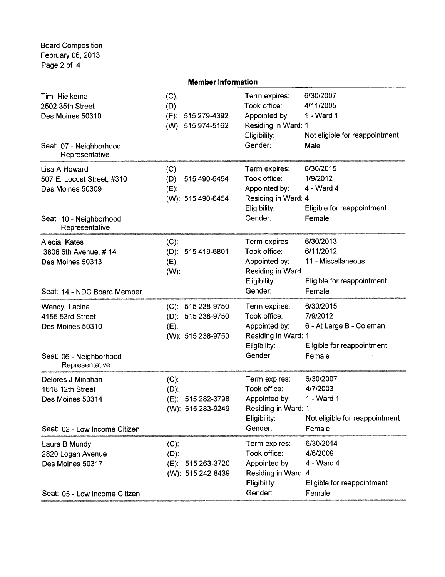Board Composition February 06, 2013 Page 2 of 4

| <b>Member Information</b>                                                                                    |                                                                         |                                                                                                  |                                                                                           |  |
|--------------------------------------------------------------------------------------------------------------|-------------------------------------------------------------------------|--------------------------------------------------------------------------------------------------|-------------------------------------------------------------------------------------------|--|
| Tim Hielkema<br>2502 35th Street<br>Des Moines 50310<br>Seat: 07 - Neighborhood<br>Representative            | $(C)$ :<br>$(D)$ :<br>(E): 515 279-4392<br>(W): 515 974-5162            | Term expires:<br>Took office:<br>Appointed by:<br>Residing in Ward: 1<br>Eligibility:<br>Gender: | 6/30/2007<br>4/11/2005<br>1 - Ward 1<br>Not eligible for reappointment<br>Male            |  |
| Lisa A Howard<br>507 E. Locust Street, #310<br>Des Moines 50309<br>Seat: 10 - Neighborhood<br>Representative | $(C)$ :<br>(D): 515 490-6454<br>$(E)$ :<br>(W): 515 490-6454            | Term expires:<br>Took office:<br>Appointed by:<br>Residing in Ward: 4<br>Eligibility:<br>Gender: | 6/30/2015<br>1/9/2012<br>4 - Ward 4<br>Eligible for reappointment<br>Female               |  |
| Alecia Kates<br>3808 6th Avenue, #14<br>Des Moines 50313<br>Seat: 14 - NDC Board Member                      | $(C)$ :<br>(D): 515 419-6801<br>$(E)$ :<br>$(W)$ :                      | Term expires:<br>Took office:<br>Appointed by:<br>Residing in Ward:<br>Eligibility:<br>Gender:   | 6/30/2013<br>6/11/2012<br>11 - Miscellaneous<br>Eligible for reappointment<br>Female      |  |
| Wendy Lacina<br>4155 53rd Street<br>Des Moines 50310<br>Seat: 06 - Neighborhood<br>Representative            | $(C): 515238-9750$<br>(D): 515 238-9750<br>$(E)$ :<br>(W): 515 238-9750 | Term expires:<br>Took office:<br>Appointed by:<br>Residing in Ward: 1<br>Eligibility:<br>Gender: | 6/30/2015<br>7/9/2012<br>6 - At Large B - Coleman<br>Eligible for reappointment<br>Female |  |
| Delores J Minahan<br>1618 12th Street<br>Des Moines 50314<br>Seat: 02 - Low Income Citizen                   | $(C)$ :<br>$(D)$ :<br>(E): 515 282-3798<br>(W): 515 283-9249            | Term expires:<br>Took office:<br>Appointed by:<br>Residing in Ward: 1<br>Eligibility:<br>Gender: | 6/30/2007<br>4/7/2003<br>1 - Ward 1<br>Not eligible for reappointment<br>Female           |  |
| Laura B Mundy<br>2820 Logan Avenue<br>Des Moines 50317<br>Seat: 05 - Low Income Citizen                      | $(C)$ :<br>$(D)$ :<br>(E): 515 263-3720<br>(W): 515 242-8439            | Term expires:<br>Took office:<br>Appointed by:<br>Residing in Ward: 4<br>Eligibility:<br>Gender: | 6/30/2014<br>4/6/2009<br>4 - Ward 4<br>Eligible for reappointment<br>Female               |  |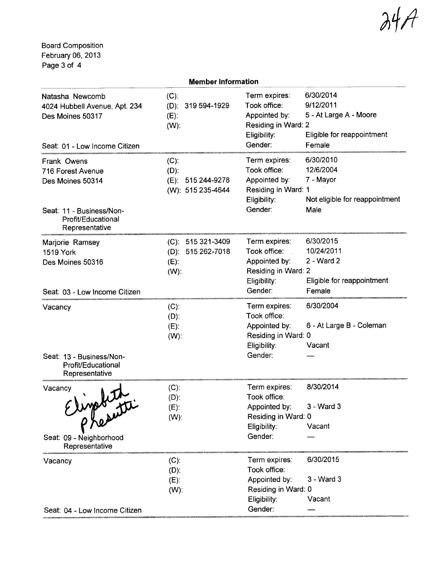$\mathcal{M}$ 

Board Composition February 06, 2013 Page 3 of 4

| <b>Member Information</b>                                                                                                |                                                                    |                                                                                                                                                                                              |  |  |
|--------------------------------------------------------------------------------------------------------------------------|--------------------------------------------------------------------|----------------------------------------------------------------------------------------------------------------------------------------------------------------------------------------------|--|--|
| Natasha Newcomb<br>4024 Hubbell Avenue, Apt. 234<br>Des Moines 50317<br>Seat: 01 - Low Income Citizen                    | $(C)$ :<br>(D): 319 594-1929<br>$(E)$ :<br>$(W)$ :                 | 6/30/2014<br>Term expires:<br>9/12/2011<br>Took office:<br>5 - At Large A - Moore<br>Appointed by:<br>Residing in Ward: 2<br>Eligible for reappointment<br>Eligibility:<br>Gender:<br>Female |  |  |
| Frank Owens<br>716 Forest Avenue<br>Des Moines 50314<br>Seat: 11 - Business/Non-<br>Profit/Educational<br>Representative | $(C)$ :<br>$(D)$ :<br>515 244-9278<br>$(E)$ :<br>(W): 515 235-4644 | 6/30/2010<br>Term expires:<br>Took office:<br>12/6/2004<br>Appointed by:<br>7 - Mayor<br>Residing in Ward: 1<br>Eligibility:<br>Not eligible for reappointment<br>Gender:<br>Male            |  |  |
| Marjorie Ramsey<br><b>1519 York</b><br>Des Moines 50316                                                                  | (C): 515 321-3409<br>(D): 515 262-7018<br>$(E)$ :<br>$(W)$ :       | 6/30/2015<br>Term expires:<br>10/24/2011<br>Took office:<br>2 - Ward 2<br>Appointed by:<br>Residing in Ward: 2<br>Eligibility:<br>Eligible for reappointment                                 |  |  |
| Seat: 03 - Low Income Citizen                                                                                            |                                                                    | Gender:<br>Female                                                                                                                                                                            |  |  |
| Vacancy<br>Seat: 13 - Business/Non-<br>Profit/Educational                                                                | $(C)$ :<br>$(D)$ :<br>$(E)$ :<br>$(W)$ :                           | 6/30/2004<br>Term expires:<br>Took office:<br>6 - At Large B - Coleman<br>Appointed by:<br>Residing in Ward: 0<br>Eligibility:<br>Vacant<br>Gender:                                          |  |  |
| Representative<br>Vacancy<br>esparati<br>Seat: 09 - Neighborhood<br>Representative                                       | $(C)$ :<br>$(D)$ :<br>(E):<br>$(W)$ :                              | 8/30/2014<br>Term expires:<br>Took office:<br>3 - Ward 3<br>Appointed by:<br>Residing in Ward: 0<br>Vacant<br>Eligibility:<br>Gender:                                                        |  |  |
| Vacancy<br>Seat: 04 - Low Income Citizen                                                                                 | $(C)$ :<br>$(D)$ :<br>$(E)$ :<br>$(W)$ :                           | 6/30/2015<br>Term expires:<br>Took office:<br>Appointed by:<br>3 - Ward 3<br>Residing in Ward: 0<br>Eligibility:<br>Vacant<br>Gender:                                                        |  |  |